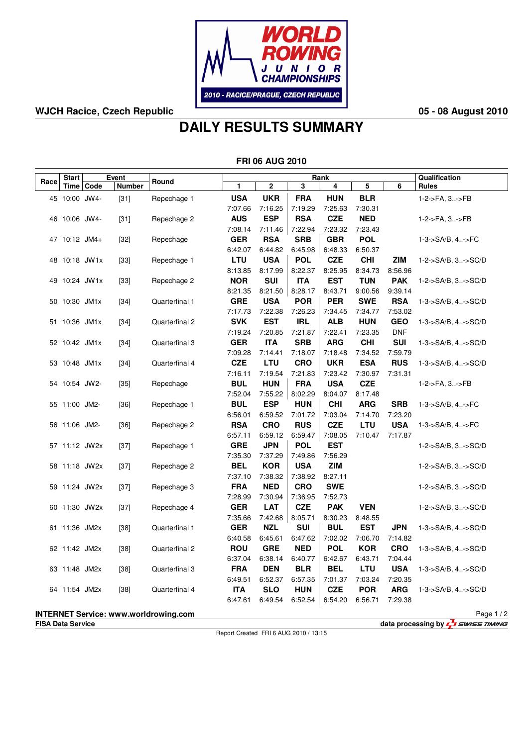

## **WJCH Racice, Czech Republic 05 - 08 August 2010**

## **DAILY RESULTS SUMMARY**

|      |                                                                        |             |               |                                              |                       | <b>FRI 06 AUG 2010</b> |                       |                       |                       |                          |                               |
|------|------------------------------------------------------------------------|-------------|---------------|----------------------------------------------|-----------------------|------------------------|-----------------------|-----------------------|-----------------------|--------------------------|-------------------------------|
|      | <b>Start</b>                                                           |             | Event         |                                              | Rank                  |                        |                       |                       |                       |                          | Qualification                 |
| Race |                                                                        | Time   Code | <b>Number</b> | Round                                        | 1                     | $\mathbf 2$            | 3                     | 4                     | 5                     | 6                        | <b>Rules</b>                  |
|      | 45 10:00 JW4-                                                          |             | $[31]$        | Repechage 1                                  | <b>USA</b>            | <b>UKR</b>             | <b>FRA</b>            | <b>HUN</b>            | <b>BLR</b>            |                          | 1-2->FA, 3->FB                |
|      |                                                                        |             |               |                                              | 7:07.66               | 7:16.25                | 7:19.29               | 7:25.63               | 7:30.31               |                          |                               |
|      | 46 10:06 JW4-                                                          |             | $[31]$        | Repechage 2                                  | <b>AUS</b>            | <b>ESP</b>             | <b>RSA</b>            | <b>CZE</b>            | <b>NED</b>            |                          | 1-2->FA, 3->FB                |
|      |                                                                        |             |               |                                              | 7:08.14               | 7:11.46                | 7:22.94               | 7:23.32               | 7:23.43               |                          |                               |
|      | 47 10:12 JM4+                                                          |             | $[32]$        | Repechage                                    | <b>GER</b>            | <b>RSA</b>             | <b>SRB</b>            | <b>GBR</b>            | <b>POL</b>            |                          | $1 - 3 - S A/B$ , 4 $>F C$    |
|      |                                                                        |             |               |                                              | 6:42.07               | 6:44.82                | 6:45.98               | 6:48.33               | 6:50.37               |                          |                               |
|      | 48 10:18 JW1x                                                          |             | $[33]$        | Repechage 1                                  | <b>LTU</b>            | <b>USA</b>             | <b>POL</b>            | <b>CZE</b>            | <b>CHI</b>            | <b>ZIM</b>               | 1-2->SA/B, 3->SC/D            |
|      |                                                                        |             |               |                                              | 8:13.85               | 8:17.99                | 8:22.37               | 8:25.95               | 8:34.73               | 8:56.96                  |                               |
|      | 49 10:24 JW1x                                                          |             | $[33]$        | Repechage 2                                  | <b>NOR</b>            | <b>SUI</b>             | <b>ITA</b>            | <b>EST</b>            | <b>TUN</b>            | <b>PAK</b>               | 1-2->SA/B, 3->SC/D            |
|      |                                                                        |             |               |                                              | 8:21.35               | 8:21.50                | 8:28.17               | 8:43.71               | 9:00.56               | 9:39.14                  |                               |
|      | 50 10:30 JM1x                                                          |             | $[34]$        | Quarterfinal 1                               | <b>GRE</b>            | <b>USA</b>             | <b>POR</b>            | <b>PER</b>            | <b>SWE</b>            | <b>RSA</b>               | $1 - 3 - SAVB$ , $4 - SCO/D$  |
|      |                                                                        |             |               |                                              | 7:17.73               | 7:22.38                | 7:26.23               | 7:34.45               | 7:34.77               | 7:53.02                  |                               |
|      | 51 10:36 JM1x                                                          |             | $[34]$        | Quarterfinal 2                               | <b>SVK</b>            | <b>EST</b>             | <b>IRL</b>            | <b>ALB</b>            | <b>HUN</b>            | <b>GEO</b><br><b>DNF</b> | 1-3->SA/B, 4->SC/D            |
|      | 52 10:42 JM1x                                                          |             |               | Quarterfinal 3                               | 7:19.24<br><b>GER</b> | 7:20.85<br><b>ITA</b>  | 7:21.87<br><b>SRB</b> | 7:22.41<br><b>ARG</b> | 7:23.35<br><b>CHI</b> | <b>SUI</b>               | 1-3->SA/B, 4->SC/D            |
|      |                                                                        |             | $[34]$        |                                              | 7:09.28               | 7:14.41                | 7:18.07               | 7:18.48               | 7:34.52               | 7:59.79                  |                               |
|      | 53 10:48 JM1x                                                          |             | $[34]$        | Quarterfinal 4                               | <b>CZE</b>            | LTU                    | <b>CRO</b>            | <b>UKR</b>            | <b>ESA</b>            | <b>RUS</b>               | 1-3->SA/B, 4->SC/D            |
|      |                                                                        |             |               |                                              | 7:16.11               | 7:19.54                | 7:21.83               | 7:23.42               | 7:30.97               | 7:31.31                  |                               |
|      | 54 10:54 JW2-                                                          |             | $[35]$        | Repechage                                    | <b>BUL</b>            | <b>HUN</b>             | <b>FRA</b>            | <b>USA</b>            | <b>CZE</b>            |                          | 1-2->FA, 3->FB                |
|      |                                                                        |             |               |                                              | 7:52.04               | 7:55.22                | 8:02.29               | 8:04.07               | 8:17.48               |                          |                               |
|      | 55 11:00 JM2-                                                          |             | $[36]$        | Repechage 1                                  | <b>BUL</b>            | <b>ESP</b>             | <b>HUN</b>            | <b>CHI</b>            | <b>ARG</b>            | <b>SRB</b>               | 1-3->SA/B, 4->FC              |
|      |                                                                        |             |               |                                              | 6:56.01               | 6:59.52                | 7:01.72               | 7:03.04               | 7:14.70               | 7:23.20                  |                               |
|      | 56 11:06 JM2-                                                          |             | $[36]$        | Repechage 2                                  | <b>RSA</b>            | <b>CRO</b>             | <b>RUS</b>            | <b>CZE</b>            | <b>LTU</b>            | <b>USA</b>               | 1-3->SA/B, 4->FC              |
|      |                                                                        |             |               |                                              | 6:57.11               | 6:59.12                | 6:59.47               | 7:08.05               | 7:10.47               | 7:17.87                  |                               |
|      | 57 11:12 JW2x                                                          |             | $[37]$        | Repechage 1                                  | <b>GRE</b>            | <b>JPN</b>             | <b>POL</b>            | <b>EST</b>            |                       |                          | 1-2->SA/B, 3->SC/D            |
|      |                                                                        |             |               |                                              | 7:35.30               | 7:37.29                | 7:49.86               | 7:56.29               |                       |                          |                               |
|      | 58 11:18 JW2x                                                          |             | $[37]$        | Repechage 2                                  | <b>BEL</b>            | <b>KOR</b>             | <b>USA</b>            | <b>ZIM</b>            |                       |                          | 1-2->SA/B, 3->SC/D            |
|      |                                                                        |             |               |                                              | 7:37.10               | 7:38.32                | 7:38.92               | 8:27.11               |                       |                          |                               |
|      | 59 11:24 JW2x                                                          |             | $[37]$        | Repechage 3                                  | <b>FRA</b>            | <b>NED</b>             | <b>CRO</b>            | <b>SWE</b>            |                       |                          | 1-2->SA/B, 3->SC/D            |
|      |                                                                        |             |               |                                              | 7:28.99               | 7:30.94                | 7:36.95               | 7:52.73               |                       |                          |                               |
|      | 60 11:30 JW2x                                                          |             | $[37]$        | Repechage 4                                  | <b>GER</b>            | LAT                    | <b>CZE</b>            | <b>PAK</b>            | <b>VEN</b>            |                          | 1-2->SA/B, 3->SC/D            |
|      |                                                                        |             |               |                                              | 7:35.66               | 7:42.68                | 8:05.71               | 8:30.23               | 8:48.55               |                          |                               |
|      | 61 11:36 JM2x                                                          |             | $[38]$        | Quarterfinal 1                               | <b>GER</b>            | <b>NZL</b>             | <b>SUI</b>            | <b>BUL</b>            | <b>EST</b>            | <b>JPN</b>               | 1-3->SA/B, 4->SC/D            |
|      |                                                                        |             |               |                                              | 6:40.58               | 6:45.61                | 6:47.62               | 7:02.02               | 7:06.70               | 7:14.82                  |                               |
|      | 62 11:42 JM2x                                                          |             | $[38]$        | Quarterfinal 2                               | <b>ROU</b>            | <b>GRE</b>             | <b>NED</b>            | <b>POL</b>            | <b>KOR</b>            | <b>CRO</b>               | $1 - 3 - SAVB$ , $4. - SCO/D$ |
|      |                                                                        |             |               |                                              | 6:37.04               | 6:38.14                | 6:40.77               | 6:42.67               | 6:43.71               | 7:04.44                  |                               |
|      | 63 11:48 JM2x                                                          |             | $[38]$        | Quarterfinal 3                               | <b>FRA</b><br>6:49.51 | <b>DEN</b><br>6:52.37  | <b>BLR</b>            | <b>BEL</b>            | LTU                   | <b>USA</b><br>7:20.35    | $1 - 3 - SAVB$ , $4 - SCO/D$  |
|      | 64 11:54 JM2x                                                          |             | $[38]$        | Quarterfinal 4                               | <b>ITA</b>            | <b>SLO</b>             | 6:57.35<br><b>HUN</b> | 7:01.37<br><b>CZE</b> | 7:03.24<br><b>POR</b> | <b>ARG</b>               | $1 - 3 - SAVB$ , $4 - SCO/D$  |
|      |                                                                        |             |               |                                              | 6:47.61               | 6:49.54                | 6:52.54               | 6:54.20               | 6:56.71               | 7:29.38                  |                               |
|      |                                                                        |             |               |                                              |                       |                        |                       |                       |                       |                          |                               |
|      |                                                                        |             |               | <b>INTERNET Service: www.worldrowing.com</b> |                       |                        |                       |                       |                       |                          | Page 1/2                      |
|      | data processing by $\sqrt{2}$ swiss TIMING<br><b>FISA Data Service</b> |             |               |                                              |                       |                        |                       |                       |                       |                          |                               |

Report Created FRI 6 AUG 2010 / 13:15